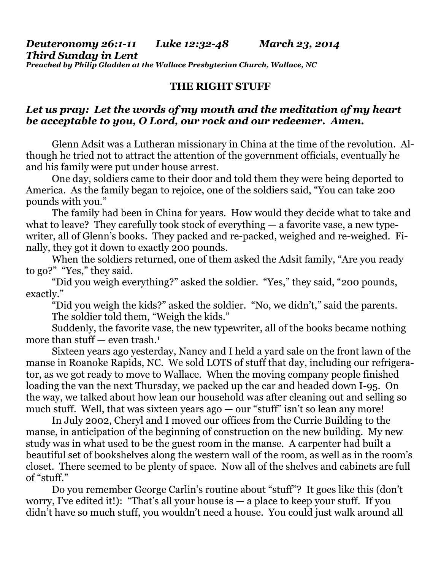## *Deuteronomy 26:1-11 Luke 12:32-48 March 23, 2014 Third Sunday in Lent Preached by Philip Gladden at the Wallace Presbyterian Church, Wallace, NC*

## **THE RIGHT STUFF**

## *Let us pray: Let the words of my mouth and the meditation of my heart be acceptable to you, O Lord, our rock and our redeemer. Amen.*

Glenn Adsit was a Lutheran missionary in China at the time of the revolution. Although he tried not to attract the attention of the government officials, eventually he and his family were put under house arrest.

 One day, soldiers came to their door and told them they were being deported to America. As the family began to rejoice, one of the soldiers said, "You can take 200 pounds with you."

 The family had been in China for years. How would they decide what to take and what to leave? They carefully took stock of everything — a favorite vase, a new typewriter, all of Glenn's books. They packed and re-packed, weighed and re-weighed. Finally, they got it down to exactly 200 pounds.

 When the soldiers returned, one of them asked the Adsit family, "Are you ready to go?" "Yes," they said.

 "Did you weigh everything?" asked the soldier. "Yes," they said, "200 pounds, exactly."

 "Did you weigh the kids?" asked the soldier. "No, we didn't," said the parents. The soldier told them, "Weigh the kids."

 Suddenly, the favorite vase, the new typewriter, all of the books became nothing more than stuff — even trash.<sup>1</sup>

 Sixteen years ago yesterday, Nancy and I held a yard sale on the front lawn of the manse in Roanoke Rapids, NC. We sold LOTS of stuff that day, including our refrigerator, as we got ready to move to Wallace. When the moving company people finished loading the van the next Thursday, we packed up the car and headed down I-95. On the way, we talked about how lean our household was after cleaning out and selling so much stuff. Well, that was sixteen years ago — our "stuff" isn't so lean any more!

 In July 2002, Cheryl and I moved our offices from the Currie Building to the manse, in anticipation of the beginning of construction on the new building. My new study was in what used to be the guest room in the manse. A carpenter had built a beautiful set of bookshelves along the western wall of the room, as well as in the room's closet. There seemed to be plenty of space. Now all of the shelves and cabinets are full of "stuff."

 Do you remember George Carlin's routine about "stuff"? It goes like this (don't worry, I've edited it!): "That's all your house is — a place to keep your stuff. If you didn't have so much stuff, you wouldn't need a house. You could just walk around all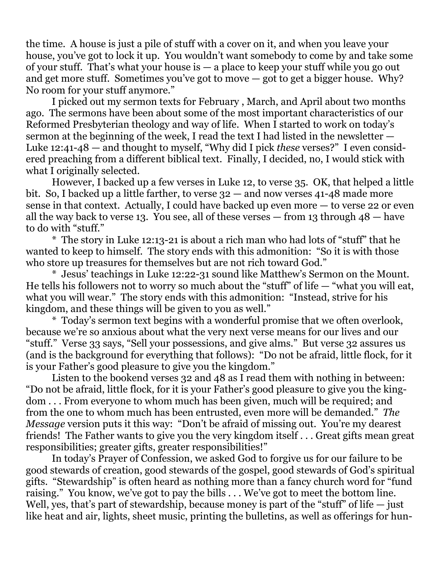the time. A house is just a pile of stuff with a cover on it, and when you leave your house, you've got to lock it up. You wouldn't want somebody to come by and take some of your stuff. That's what your house is — a place to keep your stuff while you go out and get more stuff. Sometimes you've got to move — got to get a bigger house. Why? No room for your stuff anymore."

 I picked out my sermon texts for February , March, and April about two months ago. The sermons have been about some of the most important characteristics of our Reformed Presbyterian theology and way of life. When I started to work on today's sermon at the beginning of the week, I read the text I had listed in the newsletter — Luke 12:41-48 — and thought to myself, "Why did I pick *these* verses?" I even considered preaching from a different biblical text. Finally, I decided, no, I would stick with what I originally selected.

 However, I backed up a few verses in Luke 12, to verse 35. OK, that helped a little bit. So, I backed up a little farther, to verse 32 — and now verses 41-48 made more sense in that context. Actually, I could have backed up even more — to verse 22 or even all the way back to verse 13. You see, all of these verses  $-$  from 13 through  $48 -$  have to do with "stuff."

 \* The story in Luke 12:13-21 is about a rich man who had lots of "stuff" that he wanted to keep to himself. The story ends with this admonition: "So it is with those who store up treasures for themselves but are not rich toward God."

 \* Jesus' teachings in Luke 12:22-31 sound like Matthew's Sermon on the Mount. He tells his followers not to worry so much about the "stuff" of life — "what you will eat, what you will wear." The story ends with this admonition: "Instead, strive for his kingdom, and these things will be given to you as well."

 \* Today's sermon text begins with a wonderful promise that we often overlook, because we're so anxious about what the very next verse means for our lives and our "stuff." Verse 33 says, "Sell your possessions, and give alms." But verse 32 assures us (and is the background for everything that follows): "Do not be afraid, little flock, for it is your Father's good pleasure to give you the kingdom."

 Listen to the bookend verses 32 and 48 as I read them with nothing in between: "Do not be afraid, little flock, for it is your Father's good pleasure to give you the kingdom . . . From everyone to whom much has been given, much will be required; and from the one to whom much has been entrusted, even more will be demanded." *The Message* version puts it this way: "Don't be afraid of missing out. You're my dearest friends! The Father wants to give you the very kingdom itself . . . Great gifts mean great responsibilities; greater gifts, greater responsibilities!"

 In today's Prayer of Confession, we asked God to forgive us for our failure to be good stewards of creation, good stewards of the gospel, good stewards of God's spiritual gifts. "Stewardship" is often heard as nothing more than a fancy church word for "fund raising." You know, we've got to pay the bills . . . We've got to meet the bottom line. Well, yes, that's part of stewardship, because money is part of the "stuff" of life — just like heat and air, lights, sheet music, printing the bulletins, as well as offerings for hun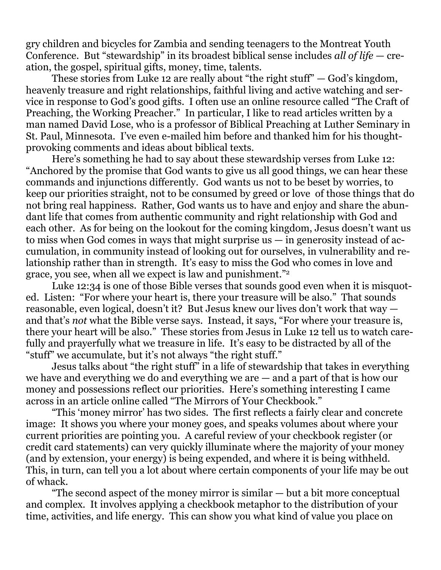gry children and bicycles for Zambia and sending teenagers to the Montreat Youth Conference. But "stewardship" in its broadest biblical sense includes *all of life* — creation, the gospel, spiritual gifts, money, time, talents.

 These stories from Luke 12 are really about "the right stuff" — God's kingdom, heavenly treasure and right relationships, faithful living and active watching and service in response to God's good gifts. I often use an online resource called "The Craft of Preaching, the Working Preacher." In particular, I like to read articles written by a man named David Lose, who is a professor of Biblical Preaching at Luther Seminary in St. Paul, Minnesota. I've even e-mailed him before and thanked him for his thoughtprovoking comments and ideas about biblical texts.

 Here's something he had to say about these stewardship verses from Luke 12: "Anchored by the promise that God wants to give us all good things, we can hear these commands and injunctions differently. God wants us not to be beset by worries, to keep our priorities straight, not to be consumed by greed or love of those things that do not bring real happiness. Rather, God wants us to have and enjoy and share the abundant life that comes from authentic community and right relationship with God and each other. As for being on the lookout for the coming kingdom, Jesus doesn't want us to miss when God comes in ways that might surprise us  $-$  in generosity instead of accumulation, in community instead of looking out for ourselves, in vulnerability and relationship rather than in strength. It's easy to miss the God who comes in love and grace, you see, when all we expect is law and punishment."2

 Luke 12:34 is one of those Bible verses that sounds good even when it is misquoted. Listen: "For where your heart is, there your treasure will be also." That sounds reasonable, even logical, doesn't it? But Jesus knew our lives don't work that way and that's *not* what the Bible verse says. Instead, it says, "For where your treasure is, there your heart will be also." These stories from Jesus in Luke 12 tell us to watch carefully and prayerfully what we treasure in life. It's easy to be distracted by all of the "stuff" we accumulate, but it's not always "the right stuff."

 Jesus talks about "the right stuff" in a life of stewardship that takes in everything we have and everything we do and everything we are — and a part of that is how our money and possessions reflect our priorities. Here's something interesting I came across in an article online called "The Mirrors of Your Checkbook."

 "This 'money mirror' has two sides. The first reflects a fairly clear and concrete image: It shows you where your money goes, and speaks volumes about where your current priorities are pointing you. A careful review of your checkbook register (or credit card statements) can very quickly illuminate where the majority of your money (and by extension, your energy) is being expended, and where it is being withheld. This, in turn, can tell you a lot about where certain components of your life may be out of whack.

 "The second aspect of the money mirror is similar — but a bit more conceptual and complex. It involves applying a checkbook metaphor to the distribution of your time, activities, and life energy. This can show you what kind of value you place on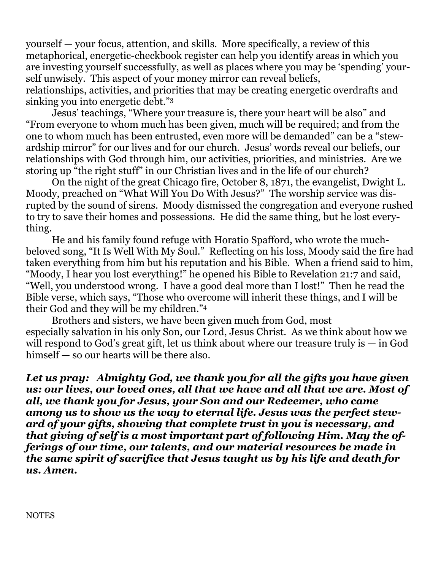yourself — your focus, attention, and skills. More specifically, a review of this metaphorical, energetic-checkbook register can help you identify areas in which you are investing yourself successfully, as well as places where you may be 'spending' yourself unwisely. This aspect of your money mirror can reveal beliefs, relationships, activities, and priorities that may be creating energetic overdrafts and sinking you into energetic debt."3

 Jesus' teachings, "Where your treasure is, there your heart will be also" and "From everyone to whom much has been given, much will be required; and from the one to whom much has been entrusted, even more will be demanded" can be a "stewardship mirror" for our lives and for our church. Jesus' words reveal our beliefs, our relationships with God through him, our activities, priorities, and ministries. Are we storing up "the right stuff" in our Christian lives and in the life of our church?

 On the night of the great Chicago fire, October 8, 1871, the evangelist, Dwight L. Moody, preached on "What Will You Do With Jesus?" The worship service was disrupted by the sound of sirens. Moody dismissed the congregation and everyone rushed to try to save their homes and possessions. He did the same thing, but he lost everything.

 He and his family found refuge with Horatio Spafford, who wrote the muchbeloved song, "It Is Well With My Soul." Reflecting on his loss, Moody said the fire had taken everything from him but his reputation and his Bible. When a friend said to him, "Moody, I hear you lost everything!" he opened his Bible to Revelation 21:7 and said, "Well, you understood wrong. I have a good deal more than I lost!" Then he read the Bible verse, which says, "Those who overcome will inherit these things, and I will be their God and they will be my children."4

 Brothers and sisters, we have been given much from God, most especially salvation in his only Son, our Lord, Jesus Christ. As we think about how we will respond to God's great gift, let us think about where our treasure truly is  $-$  in God himself — so our hearts will be there also.

*Let us pray: Almighty God, we thank you for all the gifts you have given us: our lives, our loved ones, all that we have and all that we are. Most of all, we thank you for Jesus, your Son and our Redeemer, who came among us to show us the way to eternal life. Jesus was the perfect steward of your gifts, showing that complete trust in you is necessary, and that giving of self is a most important part of following Him. May the offerings of our time, our talents, and our material resources be made in the same spirit of sacrifice that Jesus taught us by his life and death for us. Amen.*